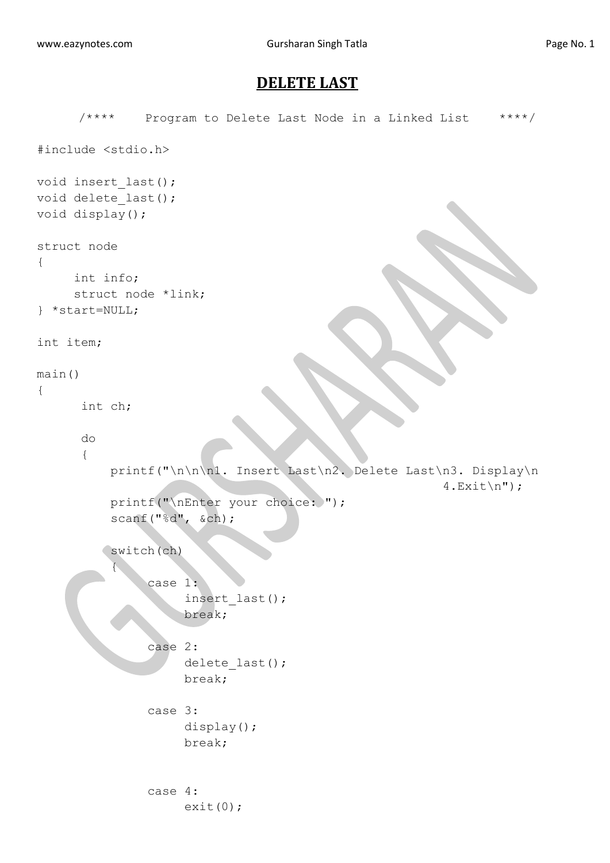## **DELETE LAST**

```
/**** Program to Delete Last Node in a Linked List ****/
#include <stdio.h>
void insert_last();
void delete last();
void display();
struct node
{
     int info;
     struct node *link;
} *start=NULL;
int item;
main()
{
       int ch;
       do
       {
           printf("\n\n\n1. Insert Last\n2. Delete Last\n3. Display\n
                                                         4.Exit\n'\n'printf("\nEnter your choice: ");
           scanf("%d", &ch);
          switch(ch)
 {
                case 1:
                      insert_last();
                     break;
                case 2:
                     delete last();
                     break;
                case 3:
                     display();
                     break;
               case 4:
                    exit(0);
```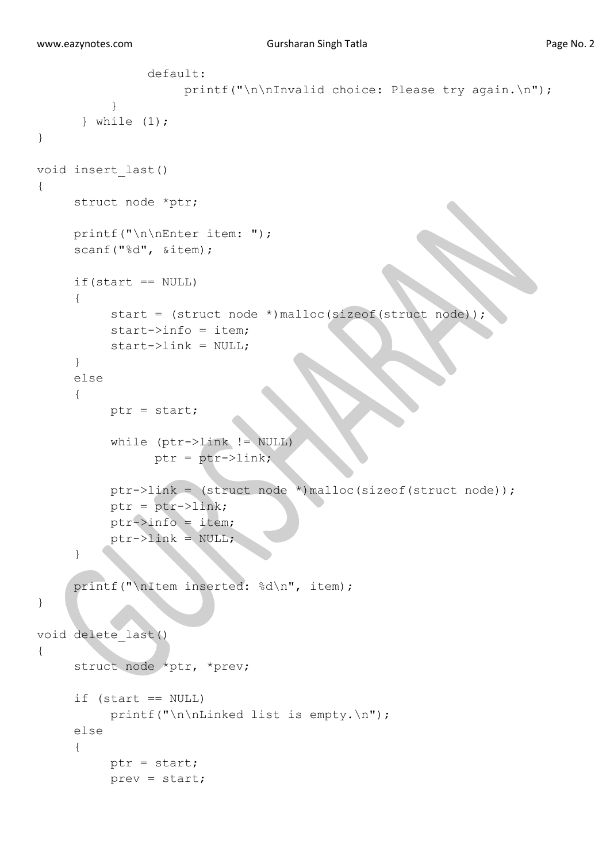```
 default:
                    printf("\n\nInvalid choice: Please try again.\n");
 }
       } while (1);
} 
void insert_last()
{
     struct node *ptr;
     printf("\n\nEnter item: ");
     scanf("%d", &item);
     if(start == NULL){
          start = (struct node *)malloc(sizeof(struct node));
          start->info = item;
          start->link = NULL;
     }
     else
     {
          ptr = start;
           while (ptr->link != NULL)
                ptr = ptr->link; ptr->link = (struct node *)malloc(sizeof(struct node));
           ptr = ptr->link;
          ptr->info = item;
          ptr->link = NULL;}
     printf("\nItem inserted: %d\n", item);
}
void delete_last()
{
      struct node *ptr, *prev;
     if (s\tan t == NULL) printf("\n\nLinked list is empty.\n");
      else
      {
           ptr = start;
           prev = start;
```